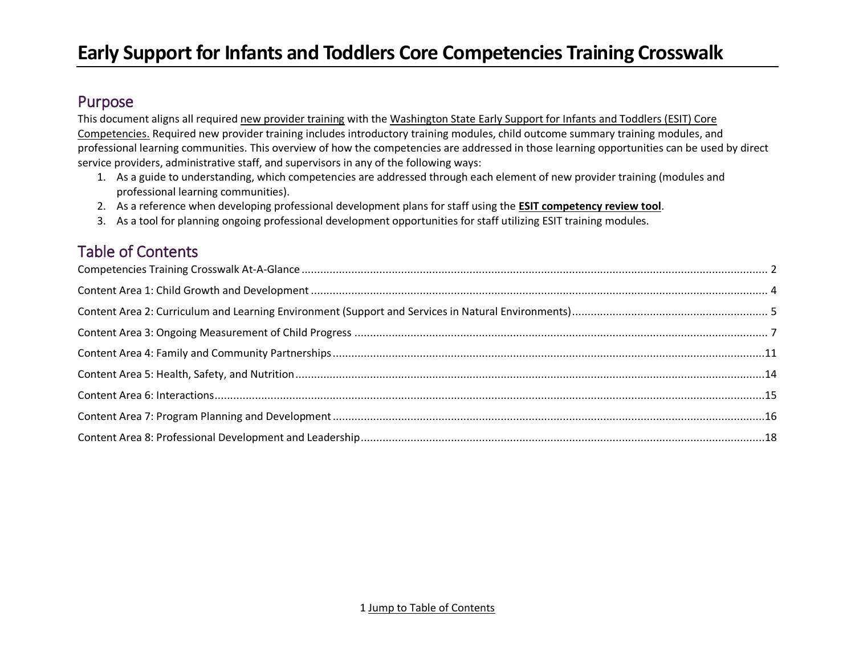## <span id="page-0-0"></span>Purpose

This document aligns all require[d new provider training](https://dcyf.wa.gov/sites/default/files/pdf/esit/esit-RequiredTraining.pdf) with the [Washington State Early Support for Infants and Toddlers](https://dcyf.wa.gov/publications-library?combine_1=FS_0065&combine=esit+core+&field_program_topic_value=All&field_languages_available_value=All) (ESIT) Core [Competencies.](https://dcyf.wa.gov/publications-library?combine_1=FS_0065&combine=esit+core+&field_program_topic_value=All&field_languages_available_value=All) Required new provider training includes introductory training modules, child outcome summary training modules, and professional learning communities. This overview of how the competencies are addressed in those learning opportunities can be used by direct service providers, administrative staff, and supervisors in any of the following ways:

- 1. As a guide to understanding, which competencies are addressed through each element of new provider training (modules and professional learning communities).
- 2. As a reference when developing professional development plans for staff using the **[ESIT competency review tool](https://www.dcyf.wa.gov/sites/default/files/excel/CoreCompetencyReviewTool.xlsx)**.
- 3. As a tool for planning ongoing professional development opportunities for staff utilizing ESIT training modules.

## Table of Contents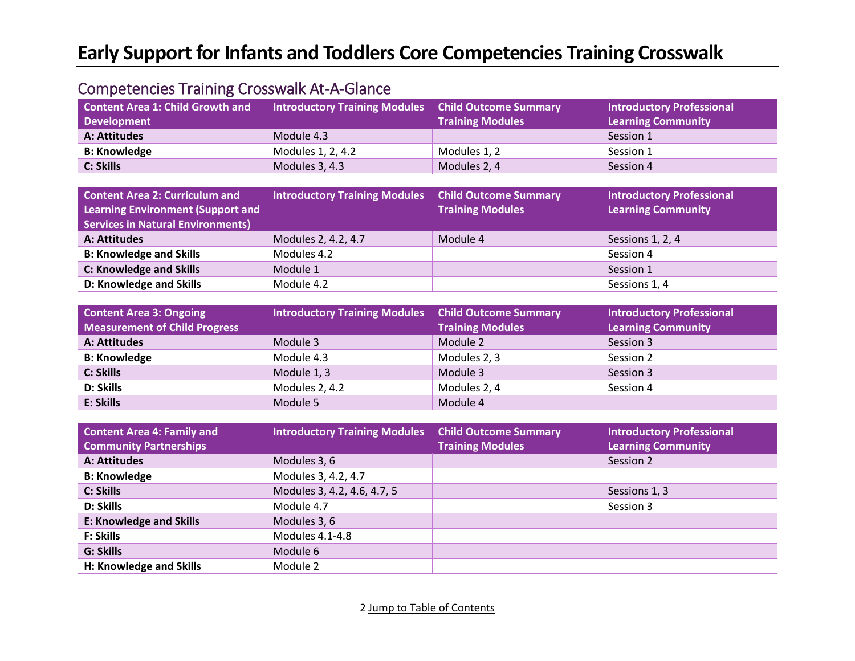## <span id="page-1-0"></span>Competencies Training Crosswalk At-A-Glance

| Content Area 1: Child Growth and<br><b>Development</b> | <b>Introductory Training Modules</b> Child Outcome Summary | <b>Training Modules</b> | <b>Introductory Professional</b><br><b>Learning Community</b> |
|--------------------------------------------------------|------------------------------------------------------------|-------------------------|---------------------------------------------------------------|
| A: Attitudes                                           | Module 4.3                                                 |                         | Session 1                                                     |
| <b>B: Knowledge</b>                                    | Modules 1, 2, 4.2                                          | Modules 1, 2            | Session 1                                                     |
| C: Skills                                              | Modules 3, 4.3                                             | Modules 2, 4            | Session 4                                                     |

| <b>Content Area 2: Curriculum and</b><br><b>Learning Environment (Support and</b><br><b>Services in Natural Environments)</b> | <b>Introductory Training Modules Child Outcome Summary</b> | <b>Training Modules</b> | <b>Introductory Professional</b><br><b>Learning Community</b> |
|-------------------------------------------------------------------------------------------------------------------------------|------------------------------------------------------------|-------------------------|---------------------------------------------------------------|
| A: Attitudes                                                                                                                  | Modules 2, 4.2, 4.7                                        | Module 4                | Sessions 1, 2, 4                                              |
| <b>B: Knowledge and Skills</b>                                                                                                | Modules 4.2                                                |                         | Session 4                                                     |
| <b>C: Knowledge and Skills</b>                                                                                                | Module 1                                                   |                         | Session 1                                                     |
| D: Knowledge and Skills                                                                                                       | Module 4.2                                                 |                         | Sessions 1, 4                                                 |

| <b>Content Area 3: Ongoing</b>       | <b>Introductory Training Modules Child Outcome Summary</b> |                         | <b>Introductory Professional</b> |
|--------------------------------------|------------------------------------------------------------|-------------------------|----------------------------------|
| <b>Measurement of Child Progress</b> |                                                            | <b>Training Modules</b> | <b>Learning Community</b>        |
| A: Attitudes                         | Module 3                                                   | Module 2                | Session 3                        |
| <b>B: Knowledge</b>                  | Module 4.3                                                 | Modules 2, 3            | Session 2                        |
| <b>C: Skills</b>                     | Module 1, 3                                                | Module 3                | Session 3                        |
| <b>D: Skills</b>                     | Modules 2, 4.2                                             | Modules 2, 4            | Session 4                        |
| E: Skills                            | Module 5                                                   | Module 4                |                                  |

| <b>Content Area 4: Family and</b><br><b>Community Partnerships</b> | <b>Introductory Training Modules</b> | <b>Child Outcome Summary</b><br><b>Training Modules</b> | <b>Introductory Professional</b><br><b>Learning Community</b> |
|--------------------------------------------------------------------|--------------------------------------|---------------------------------------------------------|---------------------------------------------------------------|
| A: Attitudes                                                       | Modules 3, 6                         |                                                         | Session 2                                                     |
| <b>B: Knowledge</b>                                                | Modules 3, 4.2, 4.7                  |                                                         |                                                               |
| C: Skills                                                          | Modules 3, 4.2, 4.6, 4.7, 5          |                                                         | Sessions 1, 3                                                 |
| D: Skills                                                          | Module 4.7                           |                                                         | Session 3                                                     |
| <b>E: Knowledge and Skills</b>                                     | Modules 3, 6                         |                                                         |                                                               |
| <b>F: Skills</b>                                                   | Modules 4.1-4.8                      |                                                         |                                                               |
| <b>G: Skills</b>                                                   | Module 6                             |                                                         |                                                               |
| H: Knowledge and Skills                                            | Module 2                             |                                                         |                                                               |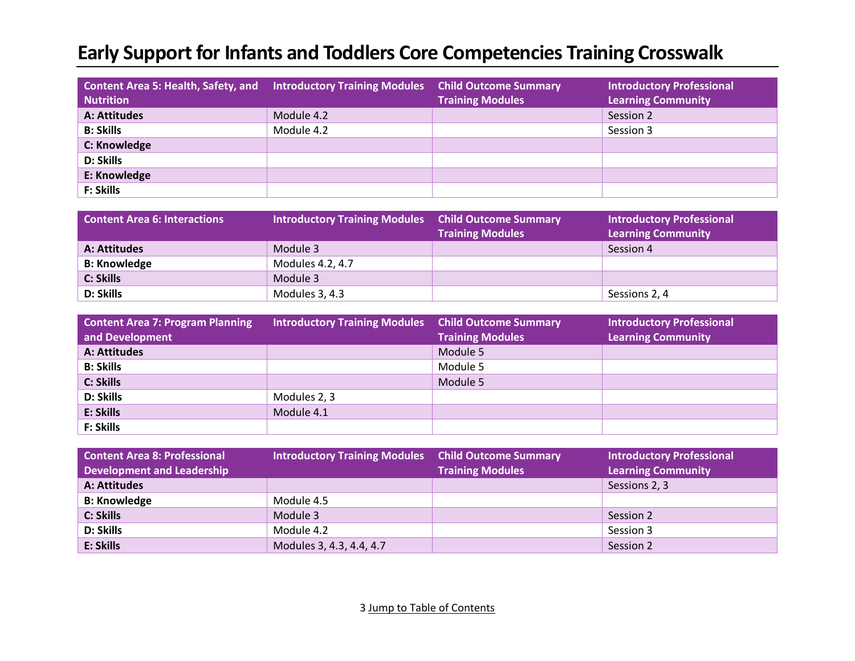| Content Area 5: Health, Safety, and Introductory Training Modules<br><b>Nutrition</b> |            | <b>Child Outcome Summary</b><br><b>Training Modules</b> | <b>Introductory Professional</b><br><b>Learning Community</b> |
|---------------------------------------------------------------------------------------|------------|---------------------------------------------------------|---------------------------------------------------------------|
| A: Attitudes                                                                          | Module 4.2 |                                                         | Session 2                                                     |
| <b>B: Skills</b>                                                                      | Module 4.2 |                                                         | Session 3                                                     |
| C: Knowledge                                                                          |            |                                                         |                                                               |
| <b>D: Skills</b>                                                                      |            |                                                         |                                                               |
| E: Knowledge                                                                          |            |                                                         |                                                               |
| <b>F: Skills</b>                                                                      |            |                                                         |                                                               |

| <b>Content Area 6: Interactions</b> | <b>Introductory Training Modules Child Outcome Summary</b> | <b>Training Modules</b> | <b>Introductory Professional</b><br><b>Learning Community</b> |
|-------------------------------------|------------------------------------------------------------|-------------------------|---------------------------------------------------------------|
| A: Attitudes                        | Module 3                                                   |                         | Session 4                                                     |
| <b>B: Knowledge</b>                 | Modules 4.2, 4.7                                           |                         |                                                               |
| C: Skills                           | Module 3                                                   |                         |                                                               |
| D: Skills                           | Modules 3, 4.3                                             |                         | Sessions 2, 4                                                 |

| <b>Content Area 7: Program Planning</b><br>and Development | <b>Introductory Training Modules</b> Child Outcome Summary | <b>Training Modules</b> | <b>Introductory Professional</b><br><b>Learning Community</b> |
|------------------------------------------------------------|------------------------------------------------------------|-------------------------|---------------------------------------------------------------|
| A: Attitudes                                               |                                                            | Module 5                |                                                               |
| <b>B: Skills</b>                                           |                                                            | Module 5                |                                                               |
| <b>C: Skills</b>                                           |                                                            | Module 5                |                                                               |
| <b>D: Skills</b>                                           | Modules 2, 3                                               |                         |                                                               |
| E: Skills                                                  | Module 4.1                                                 |                         |                                                               |
| <b>F: Skills</b>                                           |                                                            |                         |                                                               |

| <b>Content Area 8: Professional</b> | <b>Introductory Training Modules</b> Child Outcome Summary |                         | <b>Introductory Professional</b> |
|-------------------------------------|------------------------------------------------------------|-------------------------|----------------------------------|
| <b>Development and Leadership</b>   |                                                            | <b>Training Modules</b> | <b>Learning Community</b>        |
| A: Attitudes                        |                                                            |                         | Sessions 2, 3                    |
| <b>B: Knowledge</b>                 | Module 4.5                                                 |                         |                                  |
| <b>C: Skills</b>                    | Module 3                                                   |                         | Session 2                        |
| <b>D: Skills</b>                    | Module 4.2                                                 |                         | Session 3                        |
| E: Skills                           | Modules 3, 4.3, 4.4, 4.7                                   |                         | Session 2                        |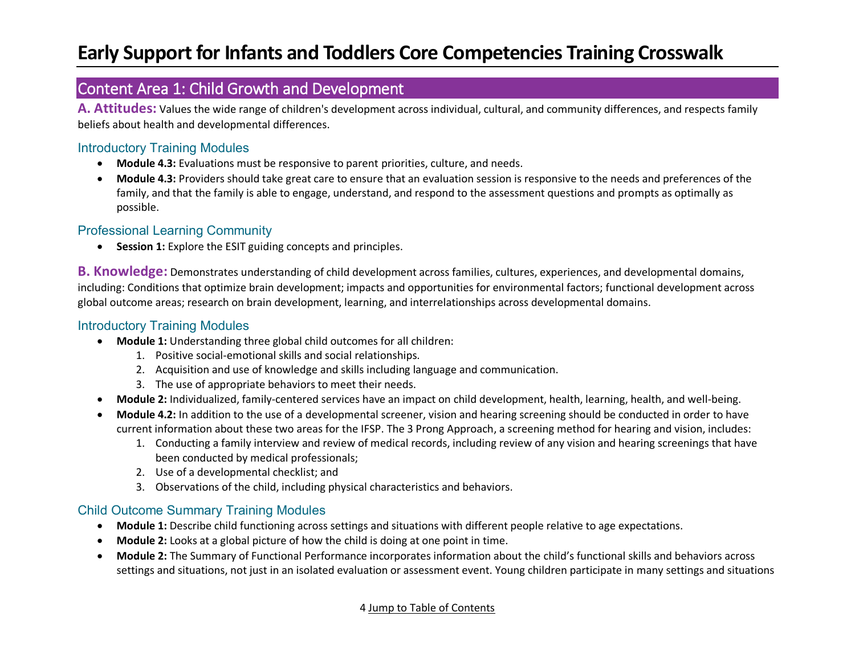### <span id="page-3-0"></span>Content Area 1: Child Growth and Development

**A. Attitudes:** Values the wide range of children's development across individual, cultural, and community differences, and respects family beliefs about health and developmental differences.

#### Introductory Training Modules

- **Module 4.3:** Evaluations must be responsive to parent priorities, culture, and needs.
- **Module 4.3:** Providers should take great care to ensure that an evaluation session is responsive to the needs and preferences of the family, and that the family is able to engage, understand, and respond to the assessment questions and prompts as optimally as possible.

#### Professional Learning Community

• **Session 1:** Explore the ESIT guiding concepts and principles.

**B. Knowledge:** Demonstrates understanding of child development across families, cultures, experiences, and developmental domains, including: Conditions that optimize brain development; impacts and opportunities for environmental factors; functional development across global outcome areas; research on brain development, learning, and interrelationships across developmental domains.

#### Introductory Training Modules

- **Module 1:** Understanding three global child outcomes for all children:
	- 1. Positive social-emotional skills and social relationships.
	- 2. Acquisition and use of knowledge and skills including language and communication.
	- 3. The use of appropriate behaviors to meet their needs.
- **Module 2:** Individualized, family-centered services have an impact on child development, health, learning, health, and well-being.
- **Module 4.2:** In addition to the use of a developmental screener, vision and hearing screening should be conducted in order to have current information about these two areas for the IFSP. The 3 Prong Approach, a screening method for hearing and vision, includes:
	- 1. Conducting a family interview and review of medical records, including review of any vision and hearing screenings that have been conducted by medical professionals;
	- 2. Use of a developmental checklist; and
	- 3. Observations of the child, including physical characteristics and behaviors.

- **Module 1:** Describe child functioning across settings and situations with different people relative to age expectations.
- **Module 2:** Looks at a global picture of how the child is doing at one point in time.
- **Module 2:** The Summary of Functional Performance incorporates information about the child's functional skills and behaviors across settings and situations, not just in an isolated evaluation or assessment event. Young children participate in many settings and situations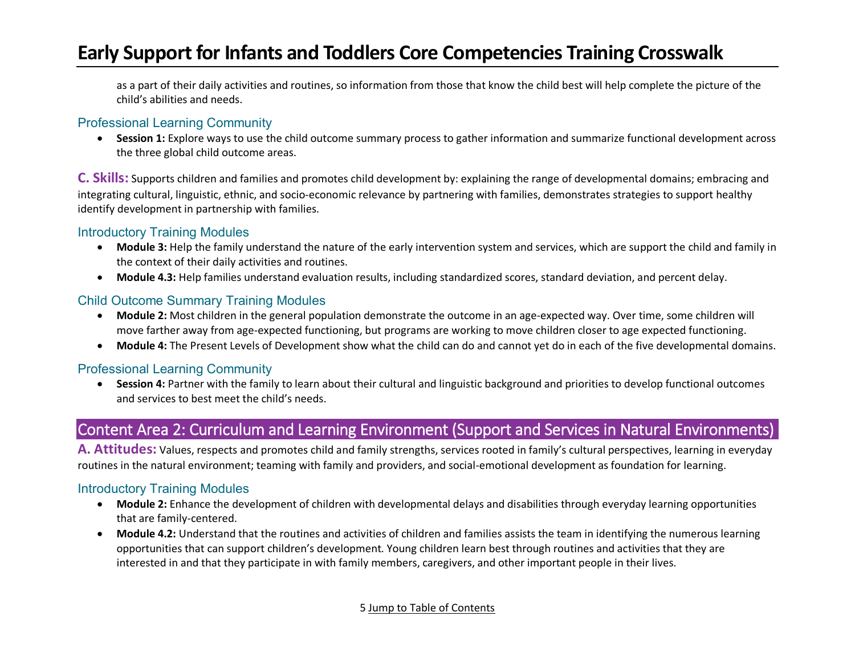as a part of their daily activities and routines, so information from those that know the child best will help complete the picture of the child's abilities and needs.

#### Professional Learning Community

• **Session 1:** Explore ways to use the child outcome summary process to gather information and summarize functional development across the three global child outcome areas.

**C. Skills:** Supports children and families and promotes child development by: explaining the range of developmental domains; embracing and integrating cultural, linguistic, ethnic, and socio-economic relevance by partnering with families, demonstrates strategies to support healthy identify development in partnership with families.

#### Introductory Training Modules

- **Module 3:** Help the family understand the nature of the early intervention system and services, which are support the child and family in the context of their daily activities and routines.
- **Module 4.3:** Help families understand evaluation results, including standardized scores, standard deviation, and percent delay.

#### Child Outcome Summary Training Modules

- **Module 2:** Most children in the general population demonstrate the outcome in an age-expected way. Over time, some children will move farther away from age-expected functioning, but programs are working to move children closer to age expected functioning.
- **Module 4:** The Present Levels of Development show what the child can do and cannot yet do in each of the five developmental domains.

#### Professional Learning Community

• **Session 4:** Partner with the family to learn about their cultural and linguistic background and priorities to develop functional outcomes and services to best meet the child's needs.

## <span id="page-4-0"></span>Content Area 2: Curriculum and Learning Environment (Support and Services in Natural Environments)

**A. Attitudes:** Values, respects and promotes child and family strengths, services rooted in family's cultural perspectives, learning in everyday routines in the natural environment; teaming with family and providers, and social-emotional development as foundation for learning.

#### Introductory Training Modules

- **Module 2:** Enhance the development of children with developmental delays and disabilities through everyday learning opportunities that are family-centered.
- **Module 4.2:** Understand that the routines and activities of children and families assists the team in identifying the numerous learning opportunities that can support children's development. Young children learn best through routines and activities that they are interested in and that they participate in with family members, caregivers, and other important people in their lives.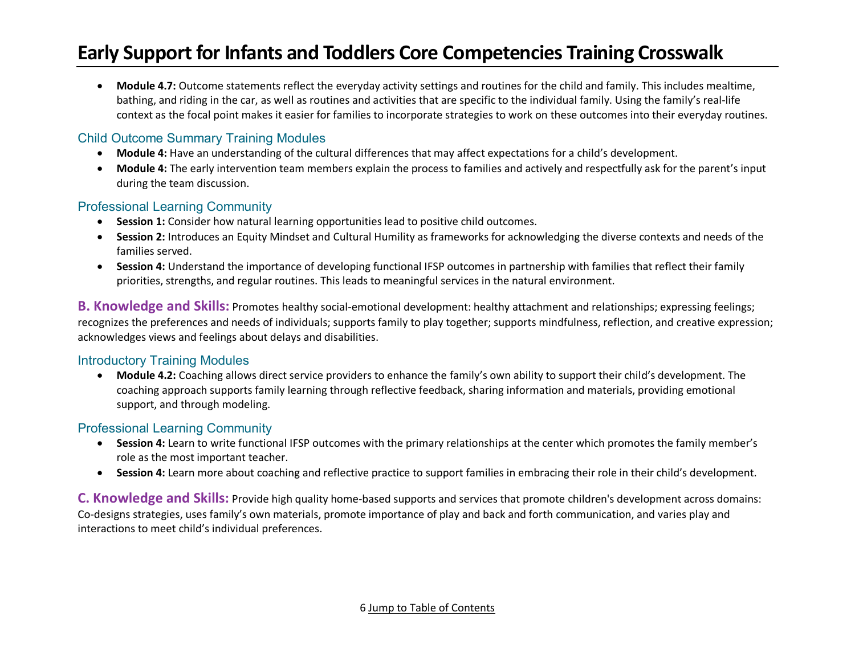• **Module 4.7:** Outcome statements reflect the everyday activity settings and routines for the child and family. This includes mealtime, bathing, and riding in the car, as well as routines and activities that are specific to the individual family. Using the family's real-life context as the focal point makes it easier for families to incorporate strategies to work on these outcomes into their everyday routines.

#### Child Outcome Summary Training Modules

- **Module 4:** Have an understanding of the cultural differences that may affect expectations for a child's development.
- **Module 4:** The early intervention team members explain the process to families and actively and respectfully ask for the parent's input during the team discussion.

#### Professional Learning Community

- **Session 1:** Consider how natural learning opportunities lead to positive child outcomes.
- **Session 2:** Introduces an Equity Mindset and Cultural Humility as frameworks for acknowledging the diverse contexts and needs of the families served.
- **Session 4:** Understand the importance of developing functional IFSP outcomes in partnership with families that reflect their family priorities, strengths, and regular routines. This leads to meaningful services in the natural environment.

**B. Knowledge and Skills:** Promotes healthy social-emotional development: healthy attachment and relationships; expressing feelings; recognizes the preferences and needs of individuals; supports family to play together; supports mindfulness, reflection, and creative expression; acknowledges views and feelings about delays and disabilities.

#### Introductory Training Modules

• **Module 4.2:** Coaching allows direct service providers to enhance the family's own ability to support their child's development. The coaching approach supports family learning through reflective feedback, sharing information and materials, providing emotional support, and through modeling.

### Professional Learning Community

- **Session 4:** Learn to write functional IFSP outcomes with the primary relationships at the center which promotes the family member's role as the most important teacher.
- **Session 4:** Learn more about coaching and reflective practice to support families in embracing their role in their child's development.

**C. Knowledge and Skills:** Provide high quality home-based supports and services that promote children's development across domains: Co-designs strategies, uses family's own materials, promote importance of play and back and forth communication, and varies play and interactions to meet child's individual preferences.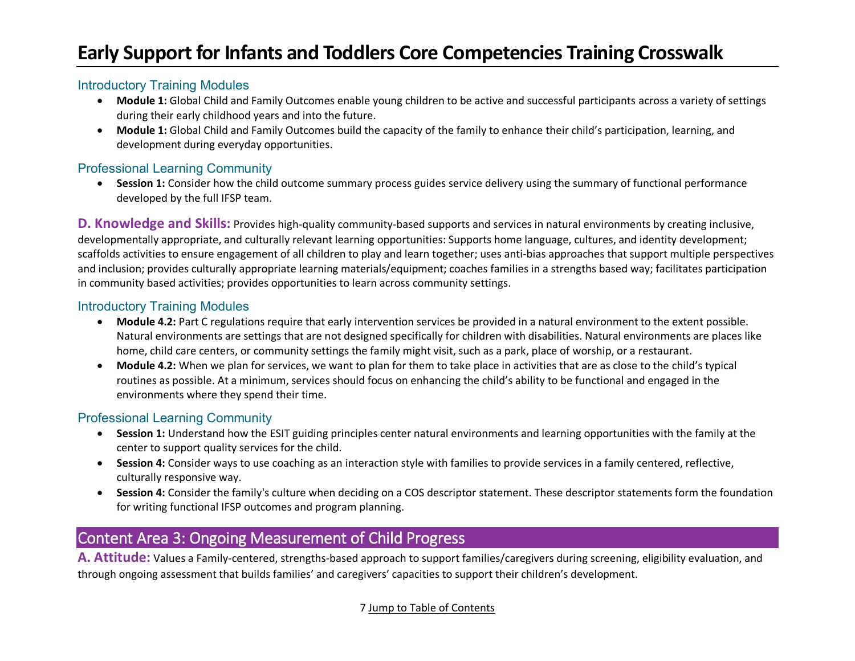#### Introductory Training Modules

- **Module 1:** Global Child and Family Outcomes enable young children to be active and successful participants across a variety of settings during their early childhood years and into the future.
- **Module 1:** Global Child and Family Outcomes build the capacity of the family to enhance their child's participation, learning, and development during everyday opportunities.

#### Professional Learning Community

• **Session 1:** Consider how the child outcome summary process guides service delivery using the summary of functional performance developed by the full IFSP team.

**D. Knowledge and Skills:** Provides high-quality community-based supports and services in natural environments by creating inclusive, developmentally appropriate, and culturally relevant learning opportunities: Supports home language, cultures, and identity development; scaffolds activities to ensure engagement of all children to play and learn together; uses anti-bias approaches that support multiple perspectives and inclusion; provides culturally appropriate learning materials/equipment; coaches families in a strengths based way; facilitates participation in community based activities; provides opportunities to learn across community settings.

#### Introductory Training Modules

- **Module 4.2:** Part C regulations require that early intervention services be provided in a natural environment to the extent possible. Natural environments are settings that are not designed specifically for children with disabilities. Natural environments are places like home, child care centers, or community settings the family might visit, such as a park, place of worship, or a restaurant.
- **Module 4.2:** When we plan for services, we want to plan for them to take place in activities that are as close to the child's typical routines as possible. At a minimum, services should focus on enhancing the child's ability to be functional and engaged in the environments where they spend their time.

### Professional Learning Community

- **Session 1:** Understand how the ESIT guiding principles center natural environments and learning opportunities with the family at the center to support quality services for the child.
- **Session 4:** Consider ways to use coaching as an interaction style with families to provide services in a family centered, reflective, culturally responsive way.
- **Session 4:** Consider the family's culture when deciding on a COS descriptor statement. These descriptor statements form the foundation for writing functional IFSP outcomes and program planning.

## <span id="page-6-0"></span>Content Area 3: Ongoing Measurement of Child Progress

**A. Attitude:** Values a Family-centered, strengths-based approach to support families/caregivers during screening, eligibility evaluation, and through ongoing assessment that builds families' and caregivers' capacities to support their children's development.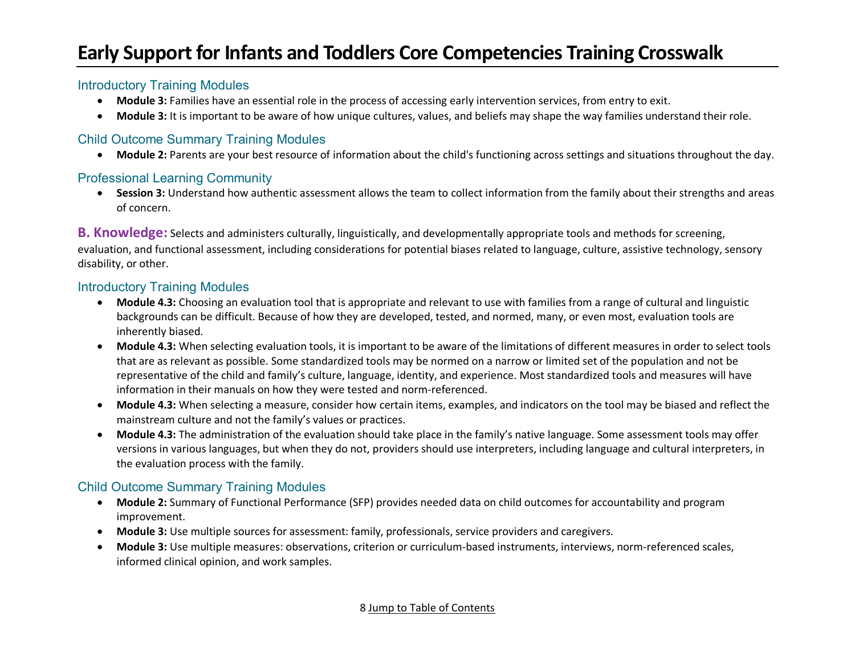#### Introductory Training Modules

- **Module 3:** Families have an essential role in the process of accessing early intervention services, from entry to exit.
- **Module 3:** It is important to be aware of how unique cultures, values, and beliefs may shape the way families understand their role.

### Child Outcome Summary Training Modules

• **Module 2:** Parents are your best resource of information about the child's functioning across settings and situations throughout the day.

#### Professional Learning Community

• **Session 3:** Understand how authentic assessment allows the team to collect information from the family about their strengths and areas of concern.

**B. Knowledge:** Selects and administers culturally, linguistically, and developmentally appropriate tools and methods for screening, evaluation, and functional assessment, including considerations for potential biases related to language, culture, assistive technology, sensory disability, or other.

#### Introductory Training Modules

- **Module 4.3:** Choosing an evaluation tool that is appropriate and relevant to use with families from a range of cultural and linguistic backgrounds can be difficult. Because of how they are developed, tested, and normed, many, or even most, evaluation tools are inherently biased.
- **Module 4.3:** When selecting evaluation tools, it is important to be aware of the limitations of different measures in order to select tools that are as relevant as possible. Some standardized tools may be normed on a narrow or limited set of the population and not be representative of the child and family's culture, language, identity, and experience. Most standardized tools and measures will have information in their manuals on how they were tested and norm-referenced.
- **Module 4.3:** When selecting a measure, consider how certain items, examples, and indicators on the tool may be biased and reflect the mainstream culture and not the family's values or practices.
- **Module 4.3:** The administration of the evaluation should take place in the family's native language. Some assessment tools may offer versions in various languages, but when they do not, providers should use interpreters, including language and cultural interpreters, in the evaluation process with the family.

- **Module 2:** Summary of Functional Performance (SFP) provides needed data on child outcomes for accountability and program improvement.
- **Module 3:** Use multiple sources for assessment: family, professionals, service providers and caregivers.
- **Module 3:** Use multiple measures: observations, criterion or curriculum-based instruments, interviews, norm-referenced scales, informed clinical opinion, and work samples.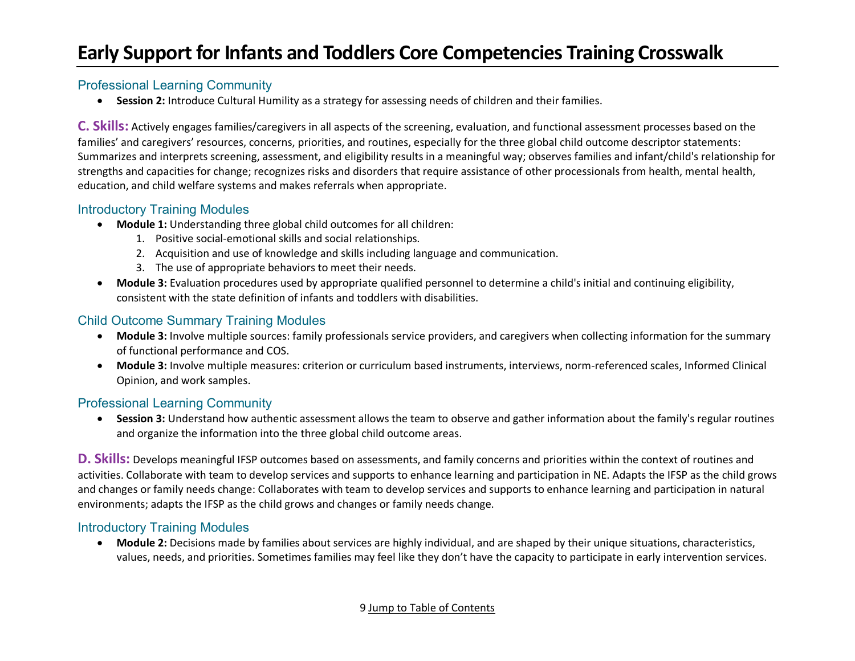#### Professional Learning Community

• **Session 2:** Introduce Cultural Humility as a strategy for assessing needs of children and their families.

**C. Skills:** Actively engages families/caregivers in all aspects of the screening, evaluation, and functional assessment processes based on the families' and caregivers' resources, concerns, priorities, and routines, especially for the three global child outcome descriptor statements: Summarizes and interprets screening, assessment, and eligibility results in a meaningful way; observes families and infant/child's relationship for strengths and capacities for change; recognizes risks and disorders that require assistance of other processionals from health, mental health, education, and child welfare systems and makes referrals when appropriate.

#### Introductory Training Modules

- **Module 1:** Understanding three global child outcomes for all children:
	- 1. Positive social-emotional skills and social relationships.
	- 2. Acquisition and use of knowledge and skills including language and communication.
	- 3. The use of appropriate behaviors to meet their needs.
- **Module 3:** Evaluation procedures used by appropriate qualified personnel to determine a child's initial and continuing eligibility, consistent with the state definition of infants and toddlers with disabilities.

#### Child Outcome Summary Training Modules

- **Module 3:** Involve multiple sources: family professionals service providers, and caregivers when collecting information for the summary of functional performance and COS.
- **Module 3:** Involve multiple measures: criterion or curriculum based instruments, interviews, norm-referenced scales, Informed Clinical Opinion, and work samples.

#### Professional Learning Community

• **Session 3:** Understand how authentic assessment allows the team to observe and gather information about the family's regular routines and organize the information into the three global child outcome areas.

**D. Skills:** Develops meaningful IFSP outcomes based on assessments, and family concerns and priorities within the context of routines and activities. Collaborate with team to develop services and supports to enhance learning and participation in NE. Adapts the IFSP as the child grows and changes or family needs change: Collaborates with team to develop services and supports to enhance learning and participation in natural environments; adapts the IFSP as the child grows and changes or family needs change.

#### Introductory Training Modules

• **Module 2:** Decisions made by families about services are highly individual, and are shaped by their unique situations, characteristics, values, needs, and priorities. Sometimes families may feel like they don't have the capacity to participate in early intervention services.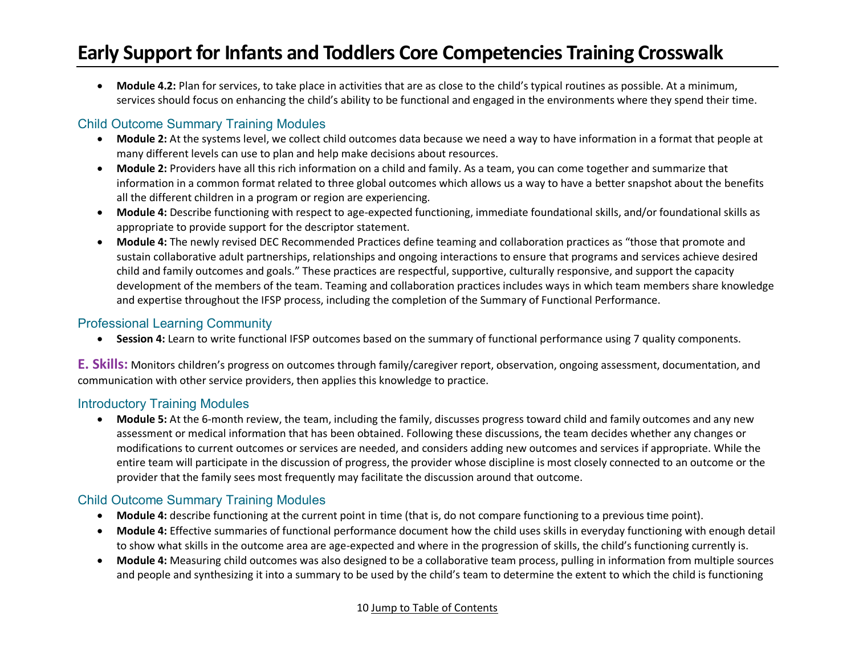• **Module 4.2:** Plan for services, to take place in activities that are as close to the child's typical routines as possible. At a minimum, services should focus on enhancing the child's ability to be functional and engaged in the environments where they spend their time.

### Child Outcome Summary Training Modules

- **Module 2:** At the systems level, we collect child outcomes data because we need a way to have information in a format that people at many different levels can use to plan and help make decisions about resources.
- **Module 2:** Providers have all this rich information on a child and family. As a team, you can come together and summarize that information in a common format related to three global outcomes which allows us a way to have a better snapshot about the benefits all the different children in a program or region are experiencing.
- **Module 4:** Describe functioning with respect to age-expected functioning, immediate foundational skills, and/or foundational skills as appropriate to provide support for the descriptor statement.
- **Module 4:** The newly revised DEC Recommended Practices define teaming and collaboration practices as "those that promote and sustain collaborative adult partnerships, relationships and ongoing interactions to ensure that programs and services achieve desired child and family outcomes and goals." These practices are respectful, supportive, culturally responsive, and support the capacity development of the members of the team. Teaming and collaboration practices includes ways in which team members share knowledge and expertise throughout the IFSP process, including the completion of the Summary of Functional Performance.

#### Professional Learning Community

• **Session 4:** Learn to write functional IFSP outcomes based on the summary of functional performance using 7 quality components.

**E. Skills:** Monitors children's progress on outcomes through family/caregiver report, observation, ongoing assessment, documentation, and communication with other service providers, then applies this knowledge to practice.

### Introductory Training Modules

• **Module 5:** At the 6-month review, the team, including the family, discusses progress toward child and family outcomes and any new assessment or medical information that has been obtained. Following these discussions, the team decides whether any changes or modifications to current outcomes or services are needed, and considers adding new outcomes and services if appropriate. While the entire team will participate in the discussion of progress, the provider whose discipline is most closely connected to an outcome or the provider that the family sees most frequently may facilitate the discussion around that outcome.

- **Module 4:** describe functioning at the current point in time (that is, do not compare functioning to a previous time point).
- **Module 4:** Effective summaries of functional performance document how the child uses skills in everyday functioning with enough detail to show what skills in the outcome area are age-expected and where in the progression of skills, the child's functioning currently is.
- **Module 4:** Measuring child outcomes was also designed to be a collaborative team process, pulling in information from multiple sources and people and synthesizing it into a summary to be used by the child's team to determine the extent to which the child is functioning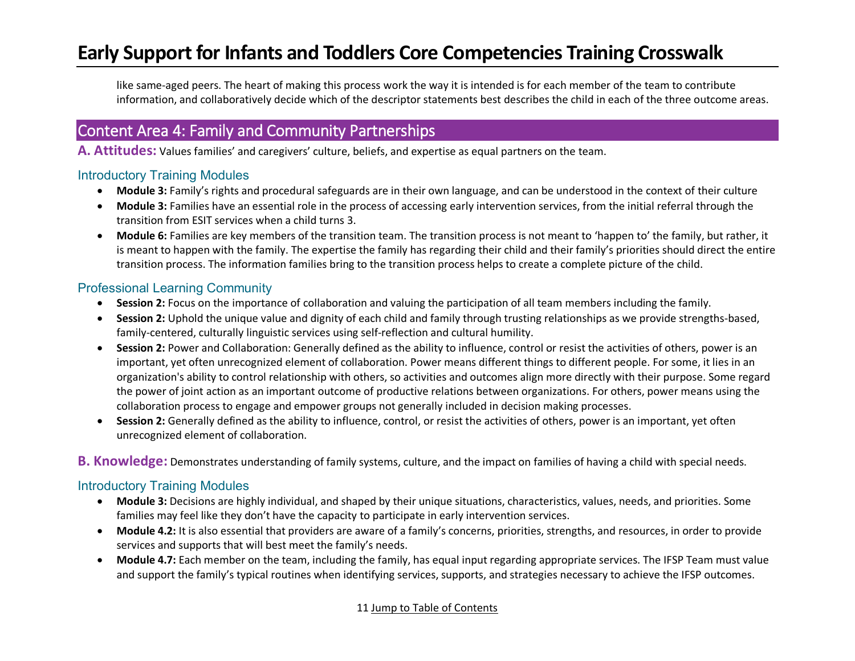like same-aged peers. The heart of making this process work the way it is intended is for each member of the team to contribute information, and collaboratively decide which of the descriptor statements best describes the child in each of the three outcome areas.

## <span id="page-10-0"></span>Content Area 4: Family and Community Partnerships

**A. Attitudes:** Values families' and caregivers' culture, beliefs, and expertise as equal partners on the team.

#### Introductory Training Modules

- **Module 3:** Family's rights and procedural safeguards are in their own language, and can be understood in the context of their culture
- **Module 3:** Families have an essential role in the process of accessing early intervention services, from the initial referral through the transition from ESIT services when a child turns 3.
- **Module 6:** Families are key members of the transition team. The transition process is not meant to 'happen to' the family, but rather, it is meant to happen with the family. The expertise the family has regarding their child and their family's priorities should direct the entire transition process. The information families bring to the transition process helps to create a complete picture of the child.

#### Professional Learning Community

- **Session 2:** Focus on the importance of collaboration and valuing the participation of all team members including the family.
- **Session 2:** Uphold the unique value and dignity of each child and family through trusting relationships as we provide strengths-based, family-centered, culturally linguistic services using self-reflection and cultural humility.
- **Session 2:** Power and Collaboration: Generally defined as the ability to influence, control or resist the activities of others, power is an important, yet often unrecognized element of collaboration. Power means different things to different people. For some, it lies in an organization's ability to control relationship with others, so activities and outcomes align more directly with their purpose. Some regard the power of joint action as an important outcome of productive relations between organizations. For others, power means using the collaboration process to engage and empower groups not generally included in decision making processes.
- **Session 2:** Generally defined as the ability to influence, control, or resist the activities of others, power is an important, yet often unrecognized element of collaboration.
- **B. Knowledge:** Demonstrates understanding of family systems, culture, and the impact on families of having a child with special needs.

#### Introductory Training Modules

- **Module 3:** Decisions are highly individual, and shaped by their unique situations, characteristics, values, needs, and priorities. Some families may feel like they don't have the capacity to participate in early intervention services.
- **Module 4.2:** It is also essential that providers are aware of a family's concerns, priorities, strengths, and resources, in order to provide services and supports that will best meet the family's needs.
- **Module 4.7:** Each member on the team, including the family, has equal input regarding appropriate services. The IFSP Team must value and support the family's typical routines when identifying services, supports, and strategies necessary to achieve the IFSP outcomes.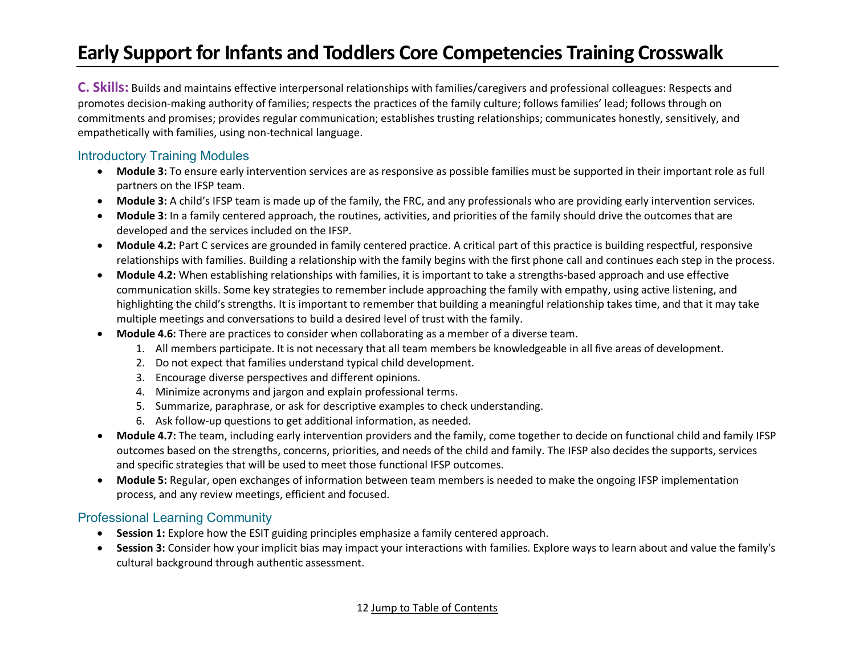**C. Skills:** Builds and maintains effective interpersonal relationships with families/caregivers and professional colleagues: Respects and promotes decision-making authority of families; respects the practices of the family culture; follows families' lead; follows through on commitments and promises; provides regular communication; establishes trusting relationships; communicates honestly, sensitively, and empathetically with families, using non-technical language.

#### Introductory Training Modules

- **Module 3:** To ensure early intervention services are as responsive as possible families must be supported in their important role as full partners on the IFSP team.
- **Module 3:** A child's IFSP team is made up of the family, the FRC, and any professionals who are providing early intervention services.
- **Module 3:** In a family centered approach, the routines, activities, and priorities of the family should drive the outcomes that are developed and the services included on the IFSP.
- **Module 4.2:** Part C services are grounded in family centered practice. A critical part of this practice is building respectful, responsive relationships with families. Building a relationship with the family begins with the first phone call and continues each step in the process.
- **Module 4.2:** When establishing relationships with families, it is important to take a strengths-based approach and use effective communication skills. Some key strategies to remember include approaching the family with empathy, using active listening, and highlighting the child's strengths. It is important to remember that building a meaningful relationship takes time, and that it may take multiple meetings and conversations to build a desired level of trust with the family.
- **Module 4.6:** There are practices to consider when collaborating as a member of a diverse team.
	- 1. All members participate. It is not necessary that all team members be knowledgeable in all five areas of development.
	- 2. Do not expect that families understand typical child development.
	- 3. Encourage diverse perspectives and different opinions.
	- 4. Minimize acronyms and jargon and explain professional terms.
	- 5. Summarize, paraphrase, or ask for descriptive examples to check understanding.
	- 6. Ask follow-up questions to get additional information, as needed.
- **Module 4.7:** The team, including early intervention providers and the family, come together to decide on functional child and family IFSP outcomes based on the strengths, concerns, priorities, and needs of the child and family. The IFSP also decides the supports, services and specific strategies that will be used to meet those functional IFSP outcomes.
- **Module 5:** Regular, open exchanges of information between team members is needed to make the ongoing IFSP implementation process, and any review meetings, efficient and focused.

#### Professional Learning Community

- **Session 1:** Explore how the ESIT guiding principles emphasize a family centered approach.
- **Session 3:** Consider how your implicit bias may impact your interactions with families. Explore ways to learn about and value the family's cultural background through authentic assessment.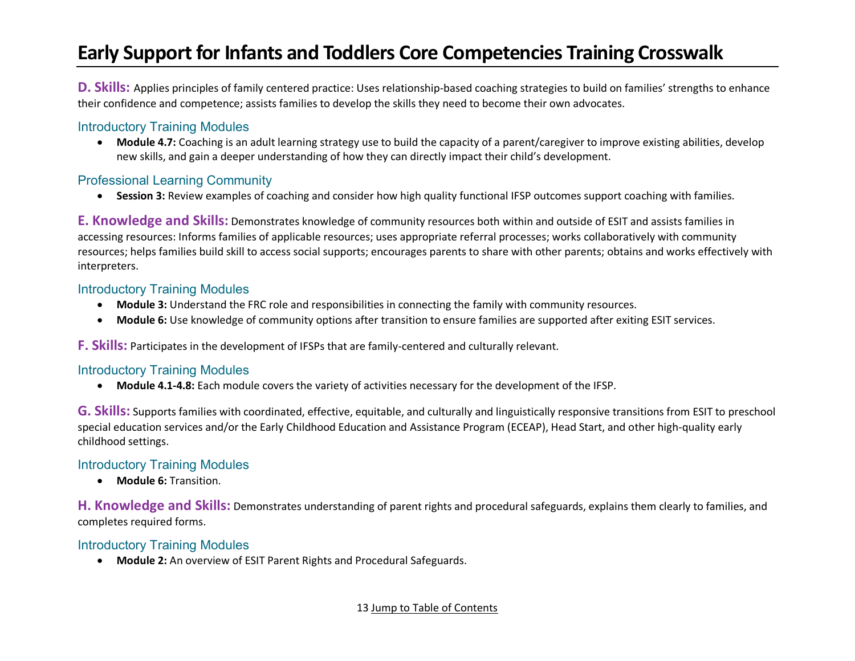**D. Skills:** Applies principles of family centered practice: Uses relationship-based coaching strategies to build on families' strengths to enhance their confidence and competence; assists families to develop the skills they need to become their own advocates.

### Introductory Training Modules

• **Module 4.7:** Coaching is an adult learning strategy use to build the capacity of a parent/caregiver to improve existing abilities, develop new skills, and gain a deeper understanding of how they can directly impact their child's development.

#### Professional Learning Community

• **Session 3:** Review examples of coaching and consider how high quality functional IFSP outcomes support coaching with families.

**E. Knowledge and Skills:** Demonstrates knowledge of community resources both within and outside of ESIT and assists families in accessing resources: Informs families of applicable resources; uses appropriate referral processes; works collaboratively with community resources; helps families build skill to access social supports; encourages parents to share with other parents; obtains and works effectively with interpreters.

#### Introductory Training Modules

- **Module 3:** Understand the FRC role and responsibilities in connecting the family with community resources.
- **Module 6:** Use knowledge of community options after transition to ensure families are supported after exiting ESIT services.

**F. Skills:** Participates in the development of IFSPs that are family-centered and culturally relevant.

#### Introductory Training Modules

• **Module 4.1-4.8:** Each module covers the variety of activities necessary for the development of the IFSP.

**G. Skills:** Supports families with coordinated, effective, equitable, and culturally and linguistically responsive transitions from ESIT to preschool special education services and/or the Early Childhood Education and Assistance Program (ECEAP), Head Start, and other high-quality early childhood settings.

### Introductory Training Modules

• **Module 6:** Transition.

**H. Knowledge and Skills:** Demonstrates understanding of parent rights and procedural safeguards, explains them clearly to families, and completes required forms.

#### Introductory Training Modules

• **Module 2:** An overview of ESIT Parent Rights and Procedural Safeguards.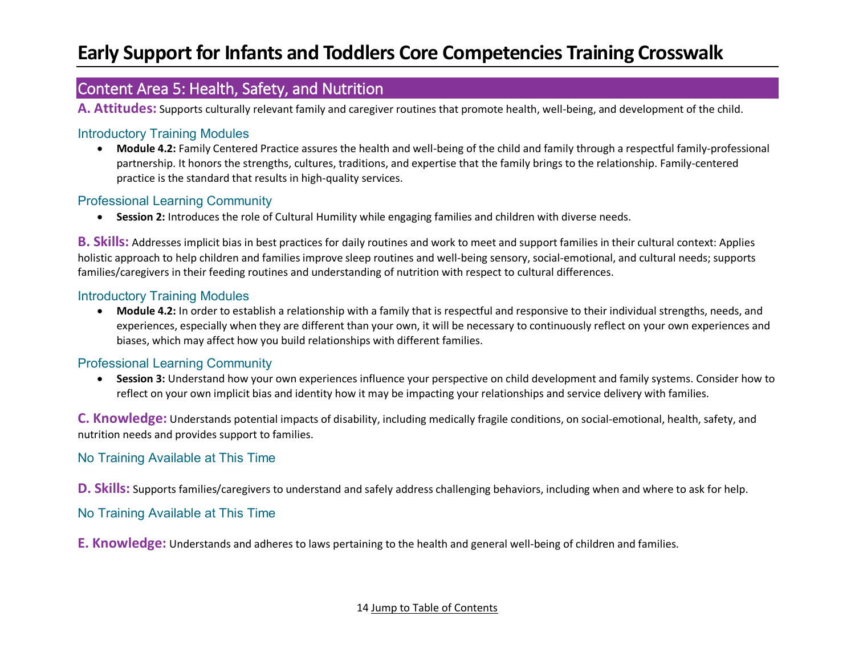## <span id="page-13-0"></span>Content Area 5: Health, Safety, and Nutrition

**A. Attitudes:** Supports culturally relevant family and caregiver routines that promote health, well-being, and development of the child.

#### Introductory Training Modules

• **Module 4.2:** Family Centered Practice assures the health and well-being of the child and family through a respectful family-professional partnership. It honors the strengths, cultures, traditions, and expertise that the family brings to the relationship. Family-centered practice is the standard that results in high-quality services.

#### Professional Learning Community

• **Session 2:** Introduces the role of Cultural Humility while engaging families and children with diverse needs.

**B. Skills:** Addresses implicit bias in best practices for daily routines and work to meet and support families in their cultural context: Applies holistic approach to help children and families improve sleep routines and well-being sensory, social-emotional, and cultural needs; supports families/caregivers in their feeding routines and understanding of nutrition with respect to cultural differences.

#### Introductory Training Modules

• **Module 4.2:** In order to establish a relationship with a family that is respectful and responsive to their individual strengths, needs, and experiences, especially when they are different than your own, it will be necessary to continuously reflect on your own experiences and biases, which may affect how you build relationships with different families.

#### Professional Learning Community

• **Session 3:** Understand how your own experiences influence your perspective on child development and family systems. Consider how to reflect on your own implicit bias and identity how it may be impacting your relationships and service delivery with families.

**C. Knowledge:** Understands potential impacts of disability, including medically fragile conditions, on social-emotional, health, safety, and nutrition needs and provides support to families.

#### No Training Available at This Time

**D. Skills:** Supports families/caregivers to understand and safely address challenging behaviors, including when and where to ask for help.

No Training Available at This Time

**E. Knowledge:** Understands and adheres to laws pertaining to the health and general well-being of children and families.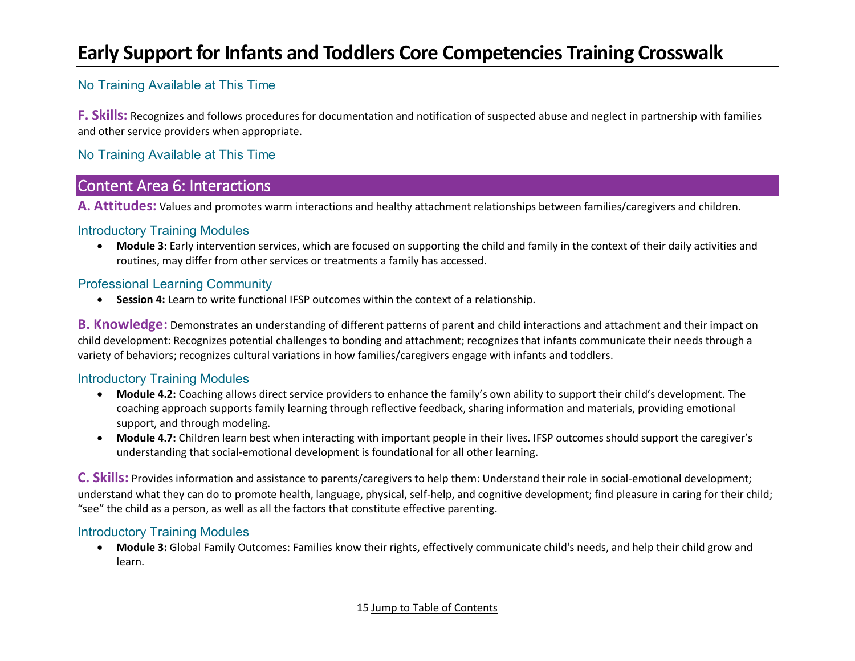### No Training Available at This Time

**F. Skills:** Recognizes and follows procedures for documentation and notification of suspected abuse and neglect in partnership with families and other service providers when appropriate.

### No Training Available at This Time

### <span id="page-14-0"></span>Content Area 6: Interactions

**A. Attitudes:** Values and promotes warm interactions and healthy attachment relationships between families/caregivers and children.

#### Introductory Training Modules

• **Module 3:** Early intervention services, which are focused on supporting the child and family in the context of their daily activities and routines, may differ from other services or treatments a family has accessed.

### Professional Learning Community

• **Session 4:** Learn to write functional IFSP outcomes within the context of a relationship.

**B. Knowledge:** Demonstrates an understanding of different patterns of parent and child interactions and attachment and their impact on child development: Recognizes potential challenges to bonding and attachment; recognizes that infants communicate their needs through a variety of behaviors; recognizes cultural variations in how families/caregivers engage with infants and toddlers.

### Introductory Training Modules

- **Module 4.2:** Coaching allows direct service providers to enhance the family's own ability to support their child's development. The coaching approach supports family learning through reflective feedback, sharing information and materials, providing emotional support, and through modeling.
- **Module 4.7:** Children learn best when interacting with important people in their lives. IFSP outcomes should support the caregiver's understanding that social-emotional development is foundational for all other learning.

**C. Skills:** Provides information and assistance to parents/caregivers to help them: Understand their role in social-emotional development; understand what they can do to promote health, language, physical, self-help, and cognitive development; find pleasure in caring for their child; "see" the child as a person, as well as all the factors that constitute effective parenting.

### Introductory Training Modules

• **Module 3:** Global Family Outcomes: Families know their rights, effectively communicate child's needs, and help their child grow and learn.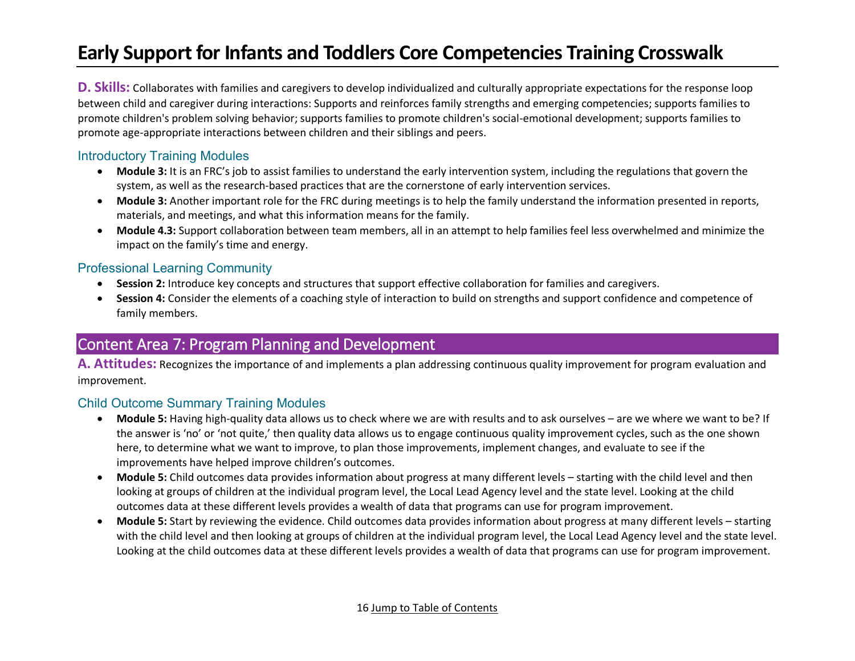**D. Skills:** Collaborates with families and caregivers to develop individualized and culturally appropriate expectations for the response loop between child and caregiver during interactions: Supports and reinforces family strengths and emerging competencies; supports families to promote children's problem solving behavior; supports families to promote children's social-emotional development; supports families to promote age-appropriate interactions between children and their siblings and peers.

#### Introductory Training Modules

- **Module 3:** It is an FRC's job to assist families to understand the early intervention system, including the regulations that govern the system, as well as the research-based practices that are the cornerstone of early intervention services.
- **Module 3:** Another important role for the FRC during meetings is to help the family understand the information presented in reports, materials, and meetings, and what this information means for the family.
- **Module 4.3:** Support collaboration between team members, all in an attempt to help families feel less overwhelmed and minimize the impact on the family's time and energy.

#### Professional Learning Community

- **Session 2:** Introduce key concepts and structures that support effective collaboration for families and caregivers.
- **Session 4:** Consider the elements of a coaching style of interaction to build on strengths and support confidence and competence of family members.

## <span id="page-15-0"></span>Content Area 7: Program Planning and Development

**A. Attitudes:** Recognizes the importance of and implements a plan addressing continuous quality improvement for program evaluation and improvement.

- **Module 5:** Having high-quality data allows us to check where we are with results and to ask ourselves are we where we want to be? If the answer is 'no' or 'not quite,' then quality data allows us to engage continuous quality improvement cycles, such as the one shown here, to determine what we want to improve, to plan those improvements, implement changes, and evaluate to see if the improvements have helped improve children's outcomes.
- **Module 5:** Child outcomes data provides information about progress at many different levels starting with the child level and then looking at groups of children at the individual program level, the Local Lead Agency level and the state level. Looking at the child outcomes data at these different levels provides a wealth of data that programs can use for program improvement.
- **Module 5:** Start by reviewing the evidence. Child outcomes data provides information about progress at many different levels starting with the child level and then looking at groups of children at the individual program level, the Local Lead Agency level and the state level. Looking at the child outcomes data at these different levels provides a wealth of data that programs can use for program improvement.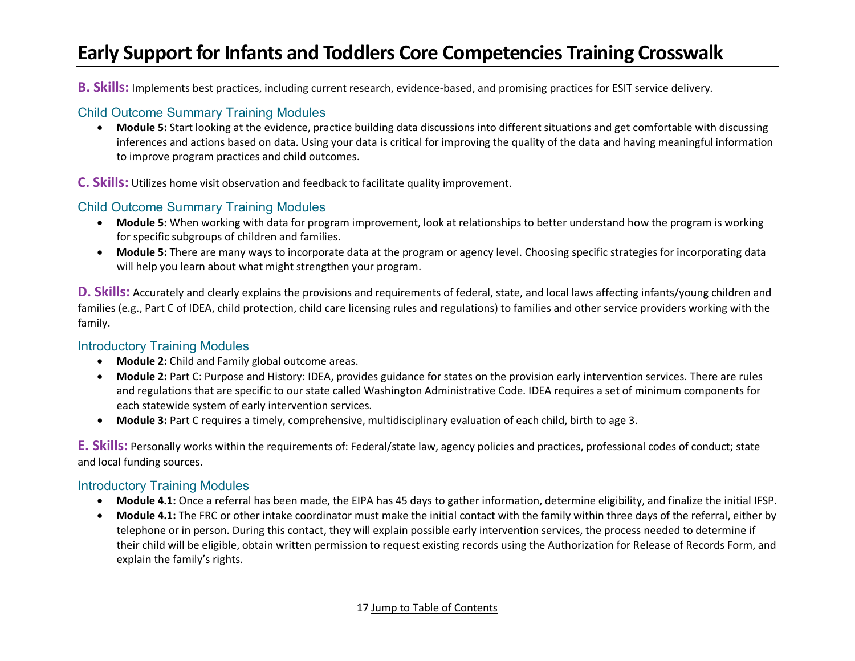**B. Skills:** Implements best practices, including current research, evidence-based, and promising practices for ESIT service delivery.

#### Child Outcome Summary Training Modules

• **Module 5:** Start looking at the evidence, practice building data discussions into different situations and get comfortable with discussing inferences and actions based on data. Using your data is critical for improving the quality of the data and having meaningful information to improve program practices and child outcomes.

**C. Skills:** Utilizes home visit observation and feedback to facilitate quality improvement.

### Child Outcome Summary Training Modules

- **Module 5:** When working with data for program improvement, look at relationships to better understand how the program is working for specific subgroups of children and families.
- **Module 5:** There are many ways to incorporate data at the program or agency level. Choosing specific strategies for incorporating data will help you learn about what might strengthen your program.

**D. Skills:** Accurately and clearly explains the provisions and requirements of federal, state, and local laws affecting infants/young children and families (e.g., Part C of IDEA, child protection, child care licensing rules and regulations) to families and other service providers working with the family.

#### Introductory Training Modules

- **Module 2:** Child and Family global outcome areas.
- **Module 2:** Part C: Purpose and History: IDEA, provides guidance for states on the provision early intervention services. There are rules and regulations that are specific to our state called Washington Administrative Code. IDEA requires a set of minimum components for each statewide system of early intervention services.
- **Module 3:** Part C requires a timely, comprehensive, multidisciplinary evaluation of each child, birth to age 3.

**E. Skills:** Personally works within the requirements of: Federal/state law, agency policies and practices, professional codes of conduct; state and local funding sources.

### Introductory Training Modules

- **Module 4.1:** Once a referral has been made, the EIPA has 45 days to gather information, determine eligibility, and finalize the initial IFSP.
- **Module 4.1:** The FRC or other intake coordinator must make the initial contact with the family within three days of the referral, either by telephone or in person. During this contact, they will explain possible early intervention services, the process needed to determine if their child will be eligible, obtain written permission to request existing records using the Authorization for Release of Records Form, and explain the family's rights.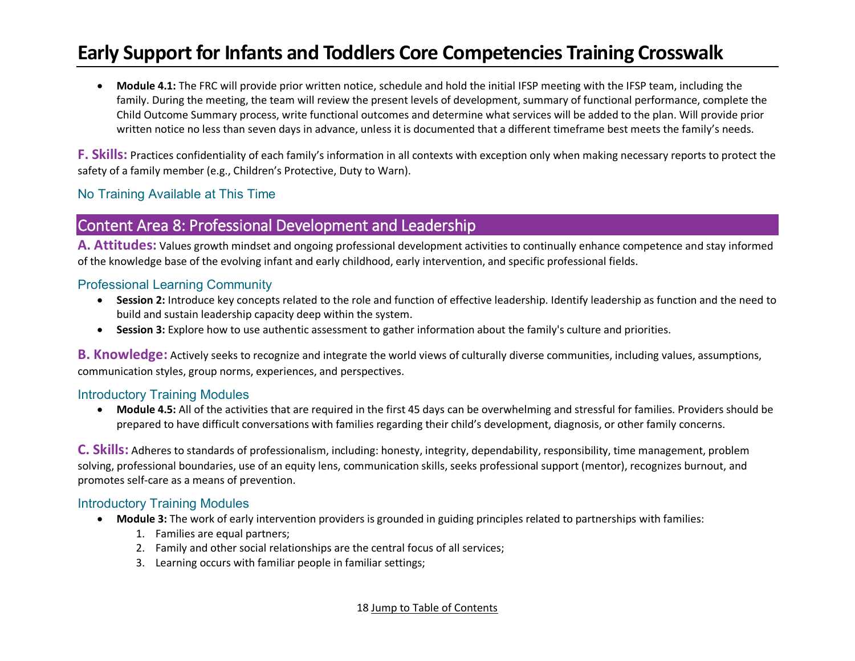• **Module 4.1:** The FRC will provide prior written notice, schedule and hold the initial IFSP meeting with the IFSP team, including the family. During the meeting, the team will review the present levels of development, summary of functional performance, complete the Child Outcome Summary process, write functional outcomes and determine what services will be added to the plan. Will provide prior written notice no less than seven days in advance, unless it is documented that a different timeframe best meets the family's needs.

**F. Skills:** Practices confidentiality of each family's information in all contexts with exception only when making necessary reports to protect the safety of a family member (e.g., Children's Protective, Duty to Warn).

#### No Training Available at This Time

### <span id="page-17-0"></span>Content Area 8: Professional Development and Leadership

**A. Attitudes:** Values growth mindset and ongoing professional development activities to continually enhance competence and stay informed of the knowledge base of the evolving infant and early childhood, early intervention, and specific professional fields.

#### Professional Learning Community

- **Session 2:** Introduce key concepts related to the role and function of effective leadership. Identify leadership as function and the need to build and sustain leadership capacity deep within the system.
- **Session 3:** Explore how to use authentic assessment to gather information about the family's culture and priorities.

**B. Knowledge:** Actively seeks to recognize and integrate the world views of culturally diverse communities, including values, assumptions, communication styles, group norms, experiences, and perspectives.

#### Introductory Training Modules

• **Module 4.5:** All of the activities that are required in the first 45 days can be overwhelming and stressful for families. Providers should be prepared to have difficult conversations with families regarding their child's development, diagnosis, or other family concerns.

**C. Skills:** Adheres to standards of professionalism, including: honesty, integrity, dependability, responsibility, time management, problem solving, professional boundaries, use of an equity lens, communication skills, seeks professional support (mentor), recognizes burnout, and promotes self-care as a means of prevention.

#### Introductory Training Modules

- **Module 3:** The work of early intervention providers is grounded in guiding principles related to partnerships with families:
	- 1. Families are equal partners;
	- 2. Family and other social relationships are the central focus of all services;
	- 3. Learning occurs with familiar people in familiar settings;